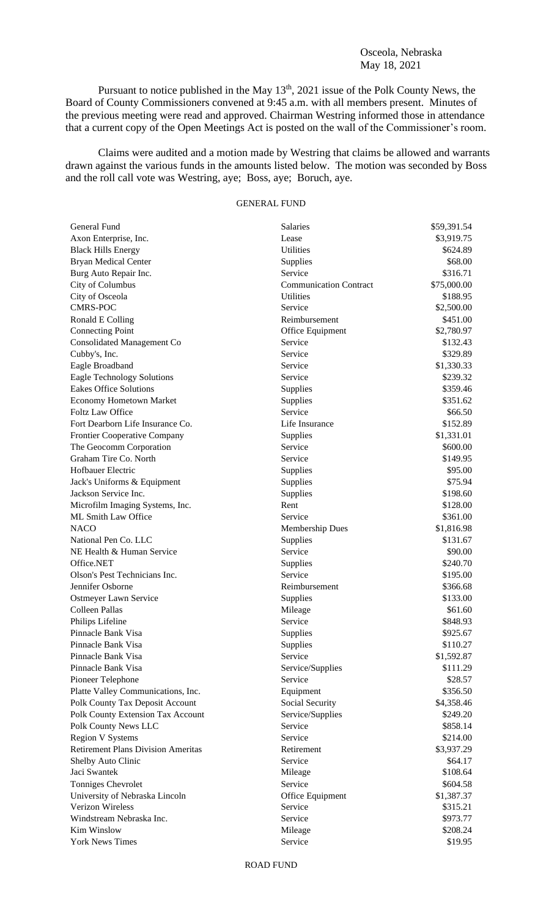## Osceola, Nebraska May 18, 2021

Pursuant to notice published in the May  $13<sup>th</sup>$ , 2021 issue of the Polk County News, the Board of County Commissioners convened at 9:45 a.m. with all members present. Minutes of the previous meeting were read and approved. Chairman Westring informed those in attendance that a current copy of the Open Meetings Act is posted on the wall of the Commissioner's room.

Claims were audited and a motion made by Westring that claims be allowed and warrants drawn against the various funds in the amounts listed below. The motion was seconded by Boss and the roll call vote was Westring, aye; Boss, aye; Boruch, aye.

## GENERAL FUND

| General Fund                                           | Salaries                      | \$59,391.54 |
|--------------------------------------------------------|-------------------------------|-------------|
| Axon Enterprise, Inc.                                  | Lease                         | \$3,919.75  |
| <b>Black Hills Energy</b>                              | <b>Utilities</b>              | \$624.89    |
| <b>Bryan Medical Center</b>                            | Supplies                      | \$68.00     |
| Burg Auto Repair Inc.                                  | Service                       | \$316.71    |
| City of Columbus                                       | <b>Communication Contract</b> | \$75,000.00 |
| City of Osceola                                        | <b>Utilities</b>              | \$188.95    |
| <b>CMRS-POC</b>                                        | Service                       | \$2,500.00  |
| Ronald E Colling                                       | Reimbursement                 | \$451.00    |
| <b>Connecting Point</b>                                | Office Equipment              | \$2,780.97  |
| <b>Consolidated Management Co</b>                      | Service                       | \$132.43    |
| Cubby's, Inc.                                          | Service                       | \$329.89    |
| Eagle Broadband                                        | Service                       | \$1,330.33  |
| <b>Eagle Technology Solutions</b>                      | Service                       | \$239.32    |
| <b>Eakes Office Solutions</b>                          | Supplies                      | \$359.46    |
| <b>Economy Hometown Market</b>                         | Supplies                      | \$351.62    |
| <b>Foltz Law Office</b>                                | Service                       | \$66.50     |
| Fort Dearborn Life Insurance Co.                       | Life Insurance                | \$152.89    |
| Frontier Cooperative Company                           | Supplies                      | \$1,331.01  |
| The Geocomm Corporation                                | Service                       | \$600.00    |
| Graham Tire Co. North                                  | Service                       | \$149.95    |
| Hofbauer Electric                                      | Supplies                      | \$95.00     |
| Jack's Uniforms & Equipment                            | Supplies                      | \$75.94     |
| Jackson Service Inc.                                   |                               | \$198.60    |
|                                                        | Supplies<br>Rent              |             |
| Microfilm Imaging Systems, Inc.<br>ML Smith Law Office | Service                       | \$128.00    |
|                                                        |                               | \$361.00    |
| <b>NACO</b>                                            | <b>Membership Dues</b>        | \$1,816.98  |
| National Pen Co. LLC                                   | Supplies                      | \$131.67    |
| NE Health & Human Service                              | Service                       | \$90.00     |
| Office.NET                                             | Supplies                      | \$240.70    |
| Olson's Pest Technicians Inc.                          | Service                       | \$195.00    |
| Jennifer Osborne                                       | Reimbursement                 | \$366.68    |
| Ostmeyer Lawn Service                                  | Supplies                      | \$133.00    |
| Colleen Pallas                                         | Mileage                       | \$61.60     |
| Philips Lifeline                                       | Service                       | \$848.93    |
| Pinnacle Bank Visa                                     | Supplies                      | \$925.67    |
| Pinnacle Bank Visa                                     | Supplies                      | \$110.27    |
| Pinnacle Bank Visa                                     | Service                       | \$1,592.87  |
| Pinnacle Bank Visa                                     | Service/Supplies              | \$111.29    |
| Pioneer Telephone                                      | Service                       | \$28.57     |
| Platte Valley Communications, Inc.                     | Equipment                     | \$356.50    |
| Polk County Tax Deposit Account                        | Social Security               | \$4,358.46  |
| Polk County Extension Tax Account                      | Service/Supplies              | \$249.20    |
| Polk County News LLC                                   | Service                       | \$858.14    |
| <b>Region V Systems</b>                                | Service                       | \$214.00    |
| <b>Retirement Plans Division Ameritas</b>              | Retirement                    | \$3,937.29  |
| Shelby Auto Clinic                                     | Service                       | \$64.17     |
| Jaci Swantek                                           | Mileage                       | \$108.64    |
| Tonniges Chevrolet                                     | Service                       | \$604.58    |
| University of Nebraska Lincoln                         | Office Equipment              | \$1,387.37  |
| Verizon Wireless                                       | Service                       | \$315.21    |
| Windstream Nebraska Inc.                               | Service                       | \$973.77    |
| Kim Winslow                                            | Mileage                       | \$208.24    |
| <b>York News Times</b>                                 | Service                       | \$19.95     |

ROAD FUND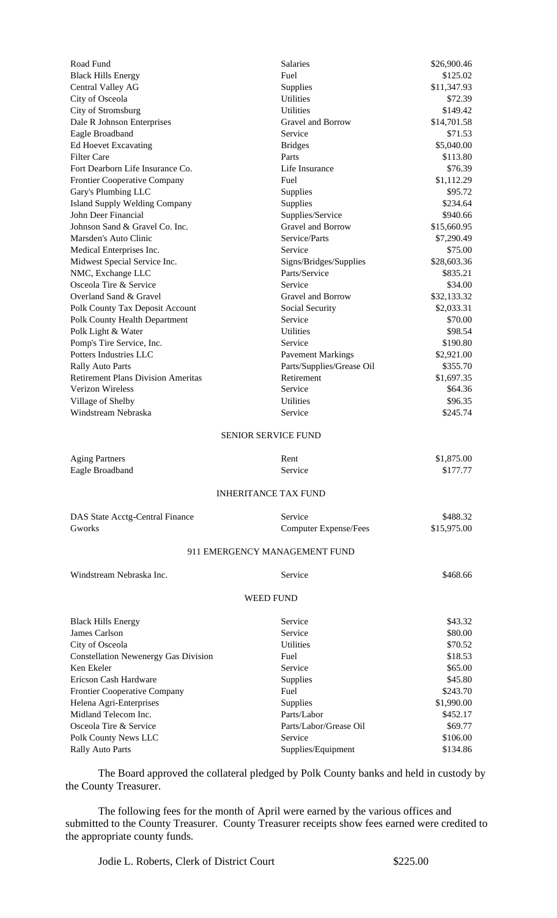| Road Fund                                   | Salaries                      | \$26,900.46 |
|---------------------------------------------|-------------------------------|-------------|
| <b>Black Hills Energy</b>                   | Fuel                          | \$125.02    |
| Central Valley AG                           | Supplies                      | \$11,347.93 |
| City of Osceola                             | Utilities                     | \$72.39     |
| City of Stromsburg                          | <b>Utilities</b>              | \$149.42    |
| Dale R Johnson Enterprises                  | Gravel and Borrow             | \$14,701.58 |
| Eagle Broadband                             | Service                       | \$71.53     |
| Ed Hoevet Excavating                        | <b>Bridges</b>                | \$5,040.00  |
| <b>Filter Care</b>                          | Parts                         | \$113.80    |
| Fort Dearborn Life Insurance Co.            | Life Insurance                | \$76.39     |
| Frontier Cooperative Company                | Fuel                          | \$1,112.29  |
| Gary's Plumbing LLC                         | Supplies                      | \$95.72     |
| <b>Island Supply Welding Company</b>        | Supplies                      | \$234.64    |
| John Deer Financial                         | Supplies/Service              | \$940.66    |
| Johnson Sand & Gravel Co. Inc.              | Gravel and Borrow             | \$15,660.95 |
| Marsden's Auto Clinic                       | Service/Parts                 | \$7,290.49  |
| Medical Enterprises Inc.                    | Service                       | \$75.00     |
| Midwest Special Service Inc.                | Signs/Bridges/Supplies        | \$28,603.36 |
| NMC, Exchange LLC                           | Parts/Service                 | \$835.21    |
| Osceola Tire & Service                      | Service                       | \$34.00     |
| Overland Sand & Gravel                      | Gravel and Borrow             | \$32,133.32 |
| Polk County Tax Deposit Account             | Social Security               | \$2,033.31  |
| Polk County Health Department               | Service                       | \$70.00     |
| Polk Light & Water                          | <b>Utilities</b>              | \$98.54     |
| Pomp's Tire Service, Inc.                   | Service                       | \$190.80    |
| Potters Industries LLC                      | <b>Pavement Markings</b>      | \$2,921.00  |
| <b>Rally Auto Parts</b>                     | Parts/Supplies/Grease Oil     | \$355.70    |
| <b>Retirement Plans Division Ameritas</b>   | Retirement                    | \$1,697.35  |
| Verizon Wireless                            | Service                       | \$64.36     |
| Village of Shelby                           | <b>Utilities</b>              | \$96.35     |
| Windstream Nebraska                         | Service                       | \$245.74    |
|                                             |                               |             |
|                                             | <b>SENIOR SERVICE FUND</b>    |             |
| <b>Aging Partners</b>                       | Rent                          | \$1,875.00  |
| Eagle Broadband                             | Service                       | \$177.77    |
|                                             | <b>INHERITANCE TAX FUND</b>   |             |
| DAS State Acctg-Central Finance             | Service                       | \$488.32    |
| Gworks                                      | <b>Computer Expense/Fees</b>  | \$15,975.00 |
|                                             |                               |             |
|                                             | 911 EMERGENCY MANAGEMENT FUND |             |
| Windstream Nebraska Inc.                    | Service                       | \$468.66    |
|                                             | <b>WEED FUND</b>              |             |
| <b>Black Hills Energy</b>                   | Service                       | \$43.32     |
| James Carlson                               | Service                       | \$80.00     |
| City of Osceola                             | <b>Utilities</b>              | \$70.52     |
| <b>Constellation Newenergy Gas Division</b> | Fuel                          | \$18.53     |
| Ken Ekeler                                  | Service                       | \$65.00     |
| Ericson Cash Hardware                       | Supplies                      | \$45.80     |
| Frontier Cooperative Company                | Fuel                          | \$243.70    |
| Helena Agri-Enterprises                     | Supplies                      | \$1,990.00  |
| Midland Telecom Inc.                        | Parts/Labor                   | \$452.17    |
| Osceola Tire & Service                      | Parts/Labor/Grease Oil        | \$69.77     |
| Polk County News LLC                        | Service                       | \$106.00    |
| <b>Rally Auto Parts</b>                     | Supplies/Equipment            | \$134.86    |

The Board approved the collateral pledged by Polk County banks and held in custody by the County Treasurer.

The following fees for the month of April were earned by the various offices and submitted to the County Treasurer. County Treasurer receipts show fees earned were credited to the appropriate county funds.

Jodie L. Roberts, Clerk of District Court \$225.00